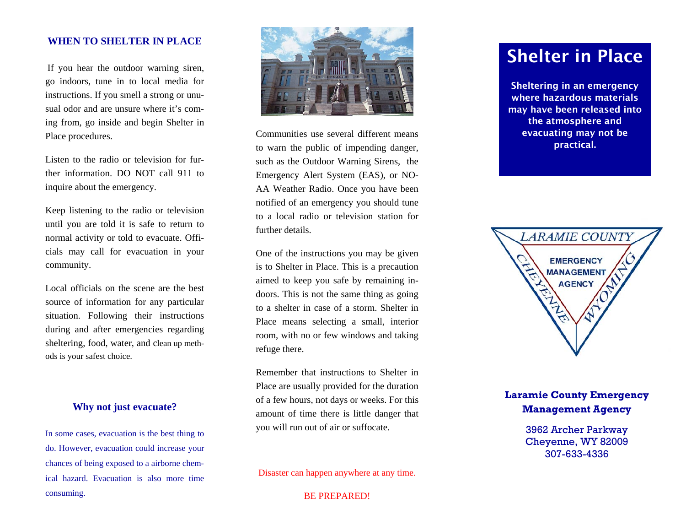## **WHEN TO SHELTER IN PLACE**

If you hear the outdoor warning siren, go indoors, tune in to local media for instructions. If you smell a strong or unusual odor and are unsure where it's coming from, go inside and begin Shelter in Place procedures.

Listen to the radio or television for further information. DO NOT call 911 to inquire about the emergency.

Keep listening to the radio or television until you are told it is safe to return to normal activity or told to evacuate. Officials may call for evacuation in your community.

Local officials on the scene are the best source of information for any particular situation. Following their instructions during and after emergencies regarding sheltering, food, water, and clean up methods is your safest choice.

**Why not just evacuate?** 

In some cases, evacuation is the best thing to do. However, evacuation could increase your chances of being exposed to a airborne chemical hazard. Evacuation is also more time consuming.



Communities use several different means to warn the public of impending danger, such as the Outdoor Warning Sirens, the Emergency Alert System (EAS), or NO-AA Weather Radio. Once you have been notified of an emergency you should tune to a local radio or television station for further details.

One of the instructions you may be given is to Shelter in Place. This is a precaution aimed to keep you safe by remaining indoors. This is not the same thing as going to a shelter in case of a storm. Shelter in Place means selecting a small, interior room, with no or few windows and taking refuge there.

Remember that instructions to Shelter in Place are usually provided for the duration of a few hours, not days or weeks. For this amount of time there is little danger that you will run out of air or suffocate.

Disaster can happen anywhere at any time.

BE PREPARED!

## Shelter in Place

Sheltering in an emergency where hazardous materials may have been released into the atmosphere and evacuating may not be practical.



## **Laramie County Emergency Management Agency**

3962 Archer Parkway Cheyenne, WY 82009 307-633-4336